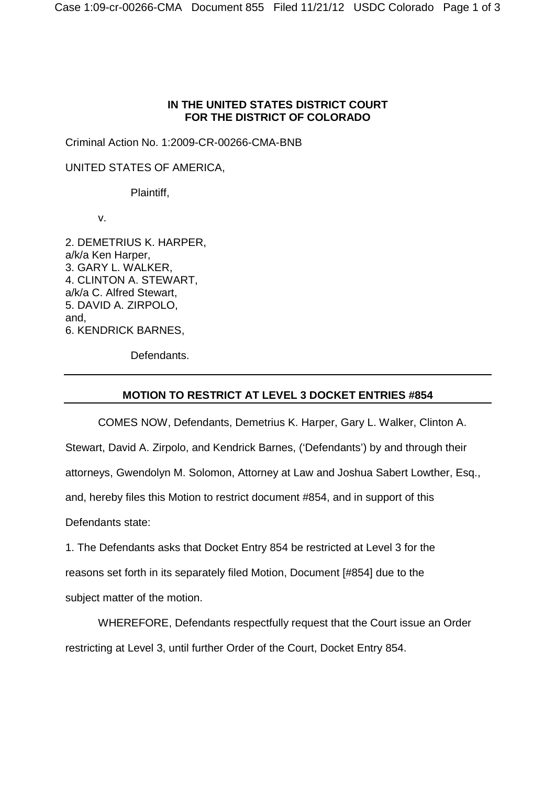## **IN THE UNITED STATES DISTRICT COURT FOR THE DISTRICT OF COLORADO**

Criminal Action No. 1:2009-CR-00266-CMA-BNB

UNITED STATES OF AMERICA,

Plaintiff,

v.

2. DEMETRIUS K. HARPER, a/k/a Ken Harper, 3. GARY L. WALKER, 4. CLINTON A. STEWART, a/k/a C. Alfred Stewart, 5. DAVID A. ZIRPOLO, and, 6. KENDRICK BARNES,

Defendants.

## **MOTION TO RESTRICT AT LEVEL 3 DOCKET ENTRIES #854**

COMES NOW, Defendants, Demetrius K. Harper, Gary L. Walker, Clinton A. Stewart, David A. Zirpolo, and Kendrick Barnes, ('Defendants') by and through their attorneys, Gwendolyn M. Solomon, Attorney at Law and Joshua Sabert Lowther, Esq., and, hereby files this Motion to restrict document #854, and in support of this Defendants state:

1. The Defendants asks that Docket Entry 854 be restricted at Level 3 for the reasons set forth in its separately filed Motion, Document [#854] due to the subject matter of the motion.

WHEREFORE, Defendants respectfully request that the Court issue an Order restricting at Level 3, until further Order of the Court, Docket Entry 854.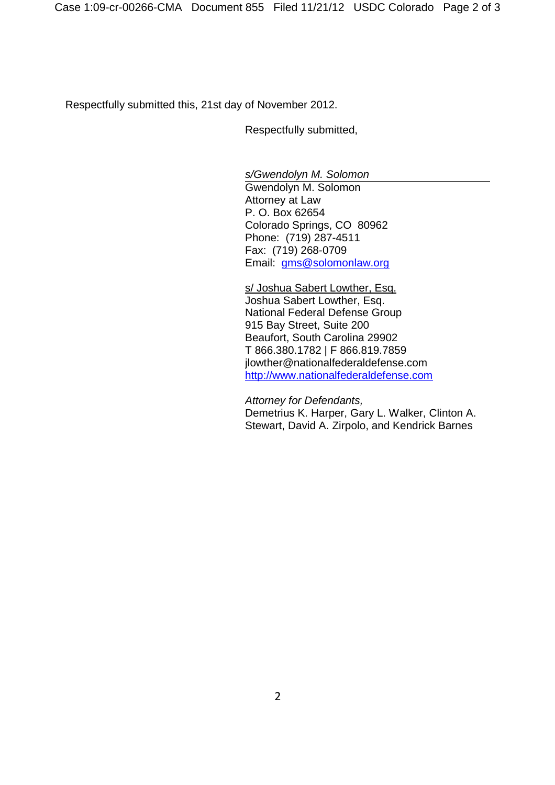Respectfully submitted this, 21st day of November 2012.

Respectfully submitted,

*s/Gwendolyn M. Solomon*

Gwendolyn M. Solomon Attorney at Law P. O. Box 62654 Colorado Springs, CO 80962 Phone: (719) 287-4511 Fax: (719) 268-0709 Email: gms@solomonlaw.org

s/ Joshua Sabert Lowther, Esq. Joshua Sabert Lowther, Esq. National Federal Defense Group 915 Bay Street, Suite 200 Beaufort, South Carolina 29902 T 866.380.1782 | F 866.819.7859 jlowther@nationalfederaldefense.com http://www.nationalfederaldefense.com

*Attorney for Defendants,* Demetrius K. Harper, Gary L. Walker, Clinton A. Stewart, David A. Zirpolo, and Kendrick Barnes